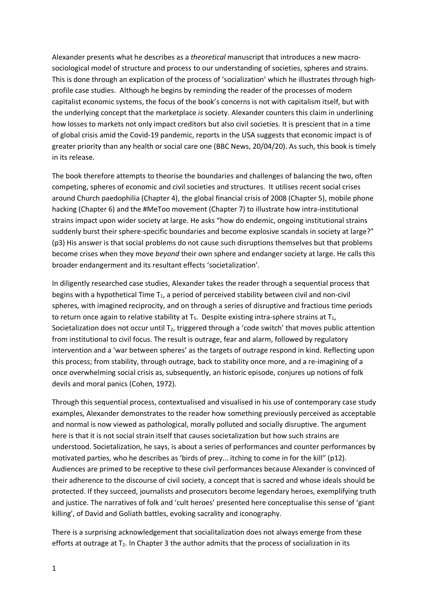Alexander presents what he describes as a *theoretical* manuscript that introduces a new macrosociological model of structure and process to our understanding of societies, spheres and strains. This is done through an explication of the process of 'socialization' which he illustrates through highprofile case studies. Although he begins by reminding the reader of the processes of modern capitalist economic systems, the focus of the book's concerns is not with capitalism itself, but with the underlying concept that the marketplace *is* society. Alexander counters this claim in underlining how losses to markets not only impact creditors but also civil societies. It is prescient that in a time of global crisis amid the Covid-19 pandemic, reports in the USA suggests that economic impact is of greater priority than any health or social care one (BBC News, 20/04/20). As such, this book is timely in its release.

The book therefore attempts to theorise the boundaries and challenges of balancing the two, often competing, spheres of economic and civil societies and structures. It utilises recent social crises around Church paedophilia (Chapter 4), the global financial crisis of 2008 (Chapter 5), mobile phone hacking (Chapter 6) and the #MeToo movement (Chapter 7) to illustrate how intra-institutional strains impact upon wider society at large. He asks "how do endemic, ongoing institutional strains suddenly burst their sphere-specific boundaries and become explosive scandals in society at large?" (p3) His answer is that social problems do not cause such disruptions themselves but that problems become crises when they move *beyond* their own sphere and endanger society at large. He calls this broader endangerment and its resultant effects 'societalization'.

In diligently researched case studies, Alexander takes the reader through a sequential process that begins with a hypothetical Time  $T_1$ , a period of perceived stability between civil and non-civil spheres, with imagined reciprocity, and on through a series of disruptive and fractious time periods to return once again to relative stability at  $T_5$ . Despite existing intra-sphere strains at  $T_1$ , Societalization does not occur until  $T_2$ , triggered through a 'code switch' that moves public attention from institutional to civil focus. The result is outrage, fear and alarm, followed by regulatory intervention and a 'war between spheres' as the targets of outrage respond in kind. Reflecting upon this process; from stability, through outrage, back to stability once more, and a re-imagining of a once overwhelming social crisis as, subsequently, an historic episode, conjures up notions of folk devils and moral panics (Cohen, 1972).

Through this sequential process, contextualised and visualised in his use of contemporary case study examples, Alexander demonstrates to the reader how something previously perceived as acceptable and normal is now viewed as pathological, morally polluted and socially disruptive. The argument here is that it is not social strain itself that causes societalization but how such strains are understood. Societalization, he says, is about a series of performances and counter performances by motivated parties, who he describes as 'birds of prey... itching to come in for the kill" (p12). Audiences are primed to be receptive to these civil performances because Alexander is convinced of their adherence to the discourse of civil society, a concept that is sacred and whose ideals should be protected. If they succeed, journalists and prosecutors become legendary heroes, exemplifying truth and justice. The narratives of folk and 'cult heroes' presented here conceptualise this sense of 'giant killing', of David and Goliath battles, evoking sacrality and iconography.

There is a surprising acknowledgement that socialitalization does not always emerge from these efforts at outrage at  $T_2$ . In Chapter 3 the author admits that the process of socialization in its